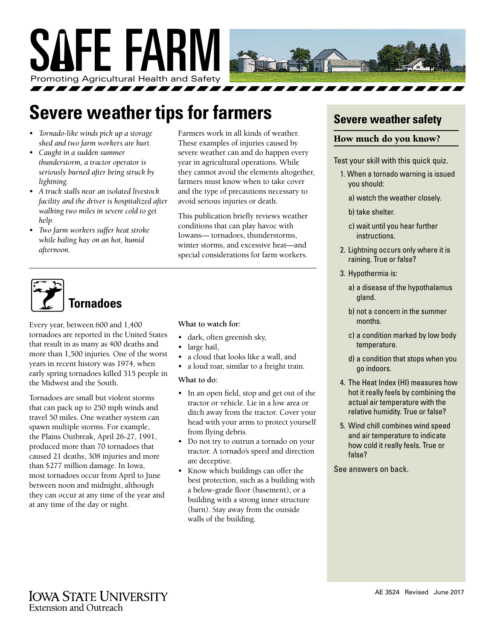

## **Severe weather tips for farmers**

- *• Tornado-like winds pick up a storage shed and two farm workers are hurt.*
- *• Caught in a sudden summer thunderstorm, a tractor operator is seriously burned after being struck by lightning.*
- *• A truck stalls near an isolated livestock facility and the driver is hospitalized after walking two miles in severe cold to get help.*
- *• Two farm workers suffer heat stroke while baling hay on an hot, humid afternoon.*

Farmers work in all kinds of weather. These examples of injuries caused by severe weather can and do happen every year in agricultural operations. While they cannot avoid the elements altogether, farmers must know when to take cover and the type of precautions necessary to avoid serious injuries or death.

This publication briefly reviews weather conditions that can play havoc with Iowans— tornadoes, thunderstorms, winter storms, and excessive heat—and special considerations for farm workers.



### **Tornadoes**

Every year, between 600 and 1,400 tornadoes are reported in the United States that result in as many as 400 deaths and more than 1,500 injuries. One of the worst years in recent history was 1974, when early spring tornadoes killed 315 people in the Midwest and the South.

Tornadoes are small but violent storms that can pack up to 250 mph winds and travel 50 miles. One weather system can spawn multiple storms. For example, the Plains Outbreak, April 26-27, 1991, produced more than 70 tornadoes that caused 21 deaths, 308 injuries and more than \$277 million damage. In Iowa, most tornadoes occur from April to June between noon and midnight, although they can occur at any time of the year and at any time of the day or night.

### **What to watch for:**

- dark, often greenish sky,
- large hail,
- a cloud that looks like a wall, and
- a loud roar, similar to a freight train.

### **What to do:**

- In an open field, stop and get out of the tractor or vehicle. Lie in a low area or ditch away from the tractor. Cover your head with your arms to protect yourself from flying debris.
- Do not try to outrun a tornado on your tractor. A tornado's speed and direction are deceptive.
- Know which buildings can offer the best protection, such as a building with a below-grade floor (basement), or a building with a strong inner structure (barn). Stay away from the outside walls of the building.

### **Severe weather safety**

### How much do you know?

Test your skill with this quick quiz.

- 1. When a tornado warning is issued you should:
	- a) watch the weather closely.
	- b) take shelter.
	- c) wait until you hear further instructions.
- 2. Lightning occurs only where it is raining. True or false?
- 3. Hypothermia is:
	- a) a disease of the hypothalamus gland.
	- b) not a concern in the summer months.
	- c) a condition marked by low body temperature.
	- d) a condition that stops when you go indoors.
- 4. The Heat Index (HI) measures how hot it really feels by combining the actual air temperature with the relative humidity. True or false?
- 5. Wind chill combines wind speed and air temperature to indicate how cold it really feels. True or false?
- See answers on back.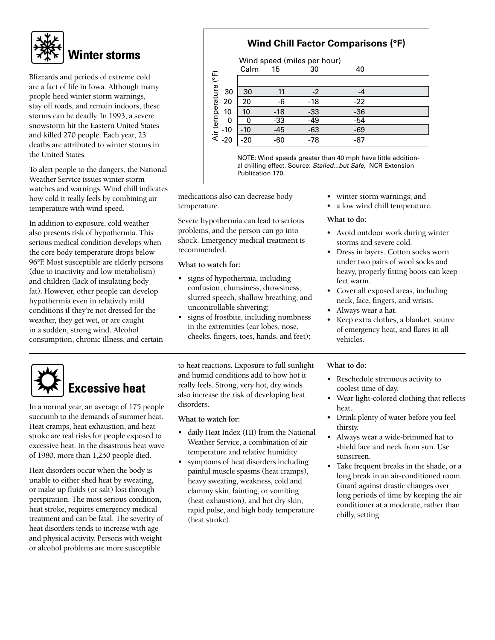

Blizzards and periods of extreme cold are a fact of life in Iowa. Although many people heed winter storm warnings, stay off roads, and remain indoors, these storms can be deadly. In 1993, a severe snowstorm hit the Eastern United States and killed 270 people. Each year, 23 deaths are attributed to winter storms in the United States.

To alert people to the dangers, the National Weather Service issues winter storm watches and warnings. Wind chill indicates how cold it really feels by combining air temperature with wind speed.

In addition to exposure, cold weather also presents risk of hypothermia. This serious medical condition develops when the core body temperature drops below 96°F. Most susceptible are elderly persons (due to inactivity and low metabolism) and children (lack of insulating body fat). However, other people can develop hypothermia even in relatively mild conditions if they're not dressed for the weather, they get wet, or are caught in a sudden, strong wind. Alcohol consumption, chronic illness, and certain

### Wind speed (miles per hour) Calm 15 30 40 Air temperature (°F) Air temperature (°F) 30 30 11 -2 -4 20 20 -6 -18 -22 10 10 -18 -33 -36 0 0 -33 -49 -54 -10 -10 -45 -63 -69 -20 -20 -60 -78 -87

NOTE: Wind speeds greater than 40 mph have little additional chilling effect. Source: *Stalled...but Safe*, NCR Extension Publication 170.

medications also can decrease body temperature.

Severe hypothermia can lead to serious problems, and the person can go into shock. Emergency medical treatment is recommended.

**What to watch for:**

- signs of hypothermia, including confusion, clumsiness, drowsiness, slurred speech, shallow breathing, and uncontrollable shivering;
- signs of frostbite, including numbness in the extremities (ear lobes, nose, cheeks, fingers, toes, hands, and feet);
- winter storm warnings; and
- a low wind chill temperature.

### **What to do:**

- Avoid outdoor work during winter storms and severe cold.
- Dress in layers. Cotton socks worn under two pairs of wool socks and heavy, properly fitting boots can keep feet warm.
- Cover all exposed areas, including neck, face, fingers, and wrists.
- Always wear a hat.
- Keep extra clothes, a blanket, source of emergency heat, and flares in all vehicles.

### **What to do:**

- Reschedule strenuous activity to coolest time of day.
- Wear light-colored clothing that reflects heat.
- Drink plenty of water before you feel thirsty.
- Always wear a wide-brimmed hat to shield face and neck from sun. Use sunscreen.
- Take frequent breaks in the shade, or a long break in an air-conditioned room. Guard against drastic changes over long periods of time by keeping the air conditioner at a moderate, rather than chilly, setting.

# **Excessive heat**

In a normal year, an average of 175 people succumb to the demands of summer heat. Heat cramps, heat exhaustion, and heat stroke are real risks for people exposed to excessive heat. In the disastrous heat wave of 1980, more than 1,250 people died.

Heat disorders occur when the body is unable to either shed heat by sweating, or make up fluids (or salt) lost through perspiration. The most serious condition, heat stroke, requires emergency medical treatment and can be fatal. The severity of heat disorders tends to increase with age and physical activity. Persons with weight or alcohol problems are more susceptible

to heat reactions. Exposure to full sunlight and humid conditions add to how hot it really feels. Strong, very hot, dry winds also increase the risk of developing heat disorders.

### **What to watch for:**

- daily Heat Index (HI) from the National Weather Service, a combination of air temperature and relative humidity.
- symptoms of heat disorders including painful muscle spasms (heat cramps), heavy sweating, weakness, cold and clammy skin, fainting, or vomiting (heat exhaustion), and hot dry skin, rapid pulse, and high body temperature (heat stroke).

### **Wind Chill Factor Comparisons (°F)**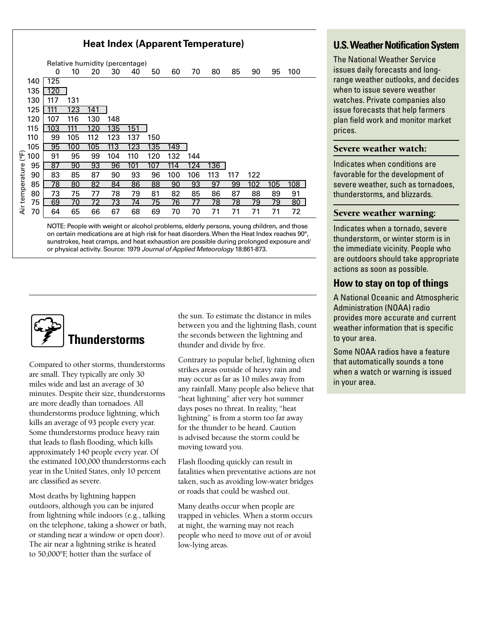|                                                                                          |     |                                |     | Heat Index (Apparent Temperature) |           |     |           |           |     |           |           |     |           |                 |
|------------------------------------------------------------------------------------------|-----|--------------------------------|-----|-----------------------------------|-----------|-----|-----------|-----------|-----|-----------|-----------|-----|-----------|-----------------|
|                                                                                          |     | Relative humidity (percentage) |     |                                   |           |     |           |           |     |           |           |     |           |                 |
|                                                                                          |     | 0                              | 10  | 20                                | 30        | 40  | 50        | 60        | 70  | 80        | 85        | 90  | 95        | 100             |
|                                                                                          | 140 | 125                            |     |                                   |           |     |           |           |     |           |           |     |           |                 |
|                                                                                          | 135 | 120                            |     |                                   |           |     |           |           |     |           |           |     |           |                 |
|                                                                                          | 130 | 117                            | 131 |                                   |           |     |           |           |     |           |           |     |           |                 |
|                                                                                          | 125 | 111                            | 123 | 141                               |           |     |           |           |     |           |           |     |           |                 |
|                                                                                          | 120 | 107                            | 116 | 130                               | 148       |     |           |           |     |           |           |     |           |                 |
|                                                                                          | 115 | 103                            | 111 | 120                               | 135       | 151 |           |           |     |           |           |     |           |                 |
|                                                                                          | 110 | 99                             | 105 | 112                               | 123       | 137 | 150       |           |     |           |           |     |           |                 |
| Ë<br>Air temperature                                                                     | 105 | 95                             | 100 | 105                               | 113       | 123 | 135       | 149       |     |           |           |     |           |                 |
|                                                                                          | 100 | 91                             | 95  | 99                                | 104       | 110 | 120       | 132       | 144 |           |           |     |           |                 |
|                                                                                          | 95  | 87                             | 90  | 93                                | 96        | 101 | 107       | 114       | 124 | 136       |           |     |           |                 |
|                                                                                          | 90  | 83                             | 85  | 87                                | 90        | 93  | 96        | 100       | 106 | 113       | 117       | 122 |           |                 |
|                                                                                          | 85  | 78                             | 80  | 82                                | 84        | 86  | 88        | 90        | 93  | 97        | 99        | 102 | 105       | 108             |
|                                                                                          | 80  | 73                             | 75  | 77                                | 78        | 79  | 81        | 82        | 85  | 86        | 87        | 88  | 89        | 91              |
|                                                                                          | 75  | 69                             | 70  | 72                                | <u>73</u> | 74  | <u>75</u> | <u>76</u> | 77  | <u>78</u> | <u>78</u> | 79  | <u>79</u> | 80 <sub>2</sub> |
|                                                                                          | 70  | 64                             | 65  | 66                                | 67        | 68  | 69        | 70        | 70  | 71        | 71        | 71  | 71        | 72              |
| NOTE: People with weight or alcohol problems, elderly persons, young children, and those |     |                                |     |                                   |           |     |           |           |     |           |           |     |           |                 |

on certain medications are at high risk for heat disorders.When the Heat Index reaches 90°, sunstrokes, heat cramps, and heat exhaustion are possible during prolonged exposure and/ or physical activity. Source: 1979 *Journal of Applied Meteorology* 18:861-873.



### **Thunderstorms**

Compared to other storms, thunderstorms are small. They typically are only 30 miles wide and last an average of 30 minutes. Despite their size, thunderstorms are more deadly than tornadoes. All thunderstorms produce lightning, which kills an average of 93 people every year. Some thunderstorms produce heavy rain that leads to flash flooding, which kills approximately 140 people every year. Of the estimated 100,000 thunderstorms each year in the United States, only 10 percent are classified as severe.

Most deaths by lightning happen outdoors, although you can be injured from lightning while indoors (e.g., talking on the telephone, taking a shower or bath, or standing near a window or open door). The air near a lightning strike is heated to 50,000°F, hotter than the surface of

the sun. To estimate the distance in miles between you and the lightning flash, count the seconds between the lightning and thunder and divide by five.

Contrary to popular belief, lightning often strikes areas outside of heavy rain and may occur as far as 10 miles away from any rainfall. Many people also believe that "heat lightning" after very hot summer days poses no threat. In reality, "heat lightning" is from a storm too far away for the thunder to be heard. Caution is advised because the storm could be moving toward you.

Flash flooding quickly can result in fatalities when preventative actions are not taken, such as avoiding low-water bridges or roads that could be washed out.

Many deaths occur when people are trapped in vehicles. When a storm occurs at night, the warning may not reach people who need to move out of or avoid low-lying areas.

### **U.S. Weather Notification System**

The National Weather Service issues daily forecasts and longrange weather outlooks, and decides when to issue severe weather watches. Private companies also issue forecasts that help farmers plan field work and monitor market prices.

### Severe weather watch:

Indicates when conditions are favorable for the development of severe weather, such as tornadoes, thunderstorms, and blizzards.

### Severe weather warning:

Indicates when a tornado, severe thunderstorm, or winter storm is in the immediate vicinity. People who are outdoors should take appropriate actions as soon as possible.

### **How to stay on top of things**

A National Oceanic and Atmospheric Administration (NOAA) radio provides more accurate and current weather information that is specific to your area.

Some NOAA radios have a feature that automatically sounds a tone when a watch or warning is issued in your area.